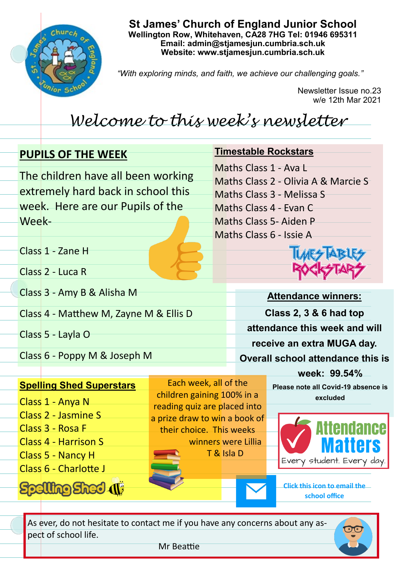

**St James' Church of England Junior School Wellington Row, Whitehaven, CA28 7HG Tel: 01946 695311 Email: admin@stjamesjun.cumbria.sch.uk Website: www.stjamesjun.cumbria.sch.uk**

*"With exploring minds, and faith, we achieve our challenging goals."*

Newsletter Issue no.23 w/e 12th Mar 2021

## *Welcome to this week's newsletter*

## **PUPILS OF THE WEEK** The children have all been working extremely hard back in school this week. Here are our Pupils of the Week-Class 1 - Zane H Class 2 - Luca R Class 3 - Amy B & Alisha M Class 4 - Matthew M, Zayne M & Ellis D Class 5 - Layla O Class 6 - Poppy M & Joseph M **Attendance winners: Class 2, 3 & 6 had top attendance this week and will receive an extra MUGA day. Overall school attendance this is week: 99.54% Timestable Rockstars** Maths Class 1 - Ava L Maths Class 2 - Olivia A & Marcie S Maths Class 3 - Melissa S Maths Class 4 - Evan C Maths Class 5- Aiden P Maths Class 6 - Issie A Each week, all of the

**Spelling Shed Superstars**

- Class 1 Anya N Class 2 - Jasmine S Class 3 - Rosa F Class 4 - Harrison S Class 5 - Nancy H
- Class 6 Charlotte J

**Spelling Shed (1)** 

children gaining 100% in a reading quiz are placed into a prize draw to win a book of their choice. This weeks winners were Lillia T & Isla D

**Please note all Covid-19 absence is excluded** 



**Click this icon to email the school office**

As ever, do not hesitate to contact me if you have any concerns about any aspect of school life.



Mr Beattie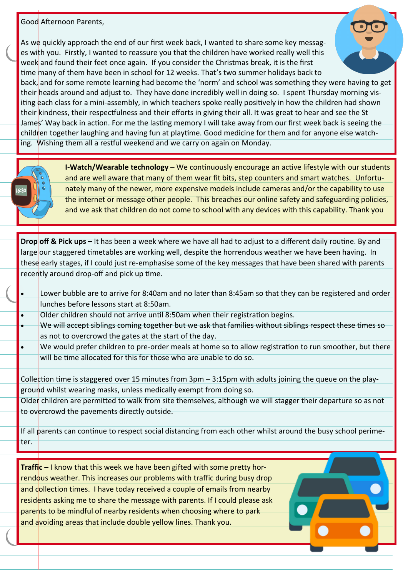## Good Afternoon Parents,

As we quickly approach the end of our first week back, I wanted to share some key messages with you. Firstly, I wanted to reassure you that the children have worked really well this week and found their feet once again. If you consider the Christmas break, it is the first time many of them have been in school for 12 weeks. That's two summer holidays back to



back, and for some remote learning had become the 'norm' and school was something they were having to get their heads around and adjust to. They have done incredibly well in doing so. I spent Thursday morning visiting each class for a mini-assembly, in which teachers spoke really positively in how the children had shown their kindness, their respectfulness and their efforts in giving their all. It was great to hear and see the St James' Way back in action. For me the lasting memory I will take away from our first week back is seeing the children together laughing and having fun at playtime. Good medicine for them and for anyone else watching. Wishing them all a restful weekend and we carry on again on Monday.



**Drop off & Pick ups –** It has been a week where we have all had to adjust to a different daily routine. By and large our staggered timetables are working well, despite the horrendous weather we have been having. In these early stages, if I could just re-emphasise some of the key messages that have been shared with parents recently around drop-off and pick up time.

- Lower bubble are to arrive for 8:40am and no later than 8:45am so that they can be registered and order lunches before lessons start at 8:50am.
- Older children should not arrive until 8:50am when their registration begins.
- We will accept siblings coming together but we ask that families without siblings respect these times so as not to overcrowd the gates at the start of the day.
- We would prefer children to pre-order meals at home so to allow registration to run smoother, but there will be time allocated for this for those who are unable to do so.

Collection time is staggered over 15 minutes from 3pm – 3:15pm with adults joining the queue on the playground whilst wearing masks, unless medically exempt from doing so.

Older children are permitted to walk from site themselves, although we will stagger their departure so as not to overcrowd the pavements directly outside.

If all parents can continue to respect social distancing from each other whilst around the busy school perimeter.

**Traffic –** I know that this week we have been gifted with some pretty horrendous weather. This increases our problems with traffic during busy drop and collection times. I have today received a couple of emails from nearby residents asking me to share the message with parents. If I could please ask parents to be mindful of nearby residents when choosing where to park and avoiding areas that include double yellow lines. Thank you.